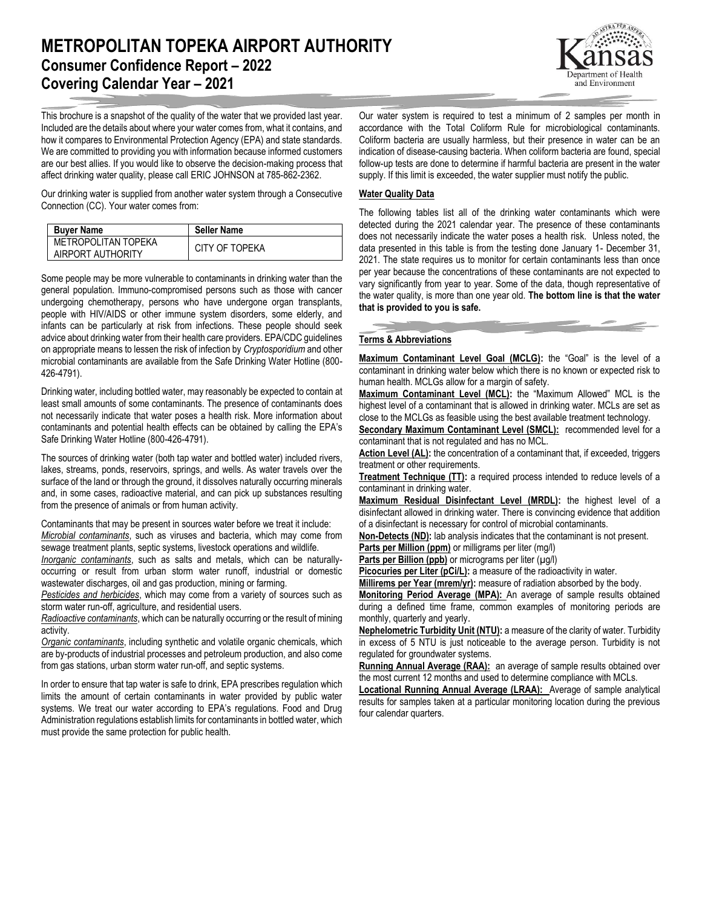# **METROPOLITAN TOPEKA AIRPORT AUTHORITY Consumer Confidence Report – 2022 Covering Calendar Year – 2021**

This brochure is a snapshot of the quality of the water that we provided last year. Included are the details about where your water comes from, what it contains, and how it compares to Environmental Protection Agency (EPA) and state standards. We are committed to providing you with information because informed customers are our best allies. If you would like to observe the decision-making process that affect drinking water quality, please call ERIC JOHNSON at 785-862-2362.

Our drinking water is supplied from another water system through a Consecutive Connection (CC). Your water comes from:

| <b>Buver Name</b>                        | <b>Seller Name</b> |
|------------------------------------------|--------------------|
| METROPOLITAN TOPEKA<br>AIRPORT AUTHORITY | CITY OF TOPEKA     |

Some people may be more vulnerable to contaminants in drinking water than the general population. Immuno-compromised persons such as those with cancer undergoing chemotherapy, persons who have undergone organ transplants, people with HIV/AIDS or other immune system disorders, some elderly, and infants can be particularly at risk from infections. These people should seek advice about drinking water from their health care providers. EPA/CDC guidelines on appropriate means to lessen the risk of infection by *Cryptosporidium* and other microbial contaminants are available from the Safe Drinking Water Hotline (800- 426-4791).

Drinking water, including bottled water, may reasonably be expected to contain at least small amounts of some contaminants. The presence of contaminants does not necessarily indicate that water poses a health risk. More information about contaminants and potential health effects can be obtained by calling the EPA's Safe Drinking Water Hotline (800-426-4791).

The sources of drinking water (both tap water and bottled water) included rivers, lakes, streams, ponds, reservoirs, springs, and wells. As water travels over the surface of the land or through the ground, it dissolves naturally occurring minerals and, in some cases, radioactive material, and can pick up substances resulting from the presence of animals or from human activity.

Contaminants that may be present in sources water before we treat it include: *Microbial contaminants*, such as viruses and bacteria, which may come from sewage treatment plants, septic systems, livestock operations and wildlife.

*Inorganic contaminants*, such as salts and metals, which can be naturallyoccurring or result from urban storm water runoff, industrial or domestic wastewater discharges, oil and gas production, mining or farming.

*Pesticides and herbicides*, which may come from a variety of sources such as storm water run-off, agriculture, and residential users.

*Radioactive contaminants*, which can be naturally occurring or the result of mining activity.

*Organic contaminants*, including synthetic and volatile organic chemicals, which are by-products of industrial processes and petroleum production, and also come from gas stations, urban storm water run-off, and septic systems.

In order to ensure that tap water is safe to drink, EPA prescribes regulation which limits the amount of certain contaminants in water provided by public water systems. We treat our water according to EPA's regulations. Food and Drug Administration regulations establish limits for contaminants in bottled water, which must provide the same protection for public health.

Our water system is required to test a minimum of 2 samples per month in accordance with the Total Coliform Rule for microbiological contaminants. Coliform bacteria are usually harmless, but their presence in water can be an indication of disease-causing bacteria. When coliform bacteria are found, special follow-up tests are done to determine if harmful bacteria are present in the water supply. If this limit is exceeded, the water supplier must notify the public.

### **Water Quality Data**

The following tables list all of the drinking water contaminants which were detected during the 2021 calendar year. The presence of these contaminants does not necessarily indicate the water poses a health risk. Unless noted, the data presented in this table is from the testing done January 1- December 31, 2021. The state requires us to monitor for certain contaminants less than once per year because the concentrations of these contaminants are not expected to vary significantly from year to year. Some of the data, though representative of the water quality, is more than one year old. **The bottom line is that the water that is provided to you is safe.**

### **Terms & Abbreviations**

**Maximum Contaminant Level Goal (MCLG):** the "Goal" is the level of a contaminant in drinking water below which there is no known or expected risk to human health. MCLGs allow for a margin of safety.

**Maximum Contaminant Level (MCL):** the "Maximum Allowed" MCL is the highest level of a contaminant that is allowed in drinking water. MCLs are set as close to the MCLGs as feasible using the best available treatment technology.

**Secondary Maximum Contaminant Level (SMCL):** recommended level for a contaminant that is not regulated and has no MCL.

Action Level (AL): the concentration of a contaminant that, if exceeded, triggers treatment or other requirements.

**Treatment Technique (TT):** a required process intended to reduce levels of a contaminant in drinking water.

**Maximum Residual Disinfectant Level (MRDL):** the highest level of a disinfectant allowed in drinking water. There is convincing evidence that addition of a disinfectant is necessary for control of microbial contaminants.

**Non-Detects (ND):** lab analysis indicates that the contaminant is not present.

**Parts per Million (ppm)** or milligrams per liter (mg/l)

Parts per Billion (ppb) or micrograms per liter (µg/l)

**Picocuries per Liter (pCi/L):** a measure of the radioactivity in water.

**Millirems per Year (mrem/yr):** measure of radiation absorbed by the body.

**Monitoring Period Average (MPA):** An average of sample results obtained during a defined time frame, common examples of monitoring periods are monthly, quarterly and yearly.

**Nephelometric Turbidity Unit (NTU):** a measure of the clarity of water. Turbidity in excess of 5 NTU is just noticeable to the average person. Turbidity is not regulated for groundwater systems.

**Running Annual Average (RAA):** an average of sample results obtained over the most current 12 months and used to determine compliance with MCLs.

**Locational Running Annual Average (LRAA):** Average of sample analytical results for samples taken at a particular monitoring location during the previous four calendar quarters.